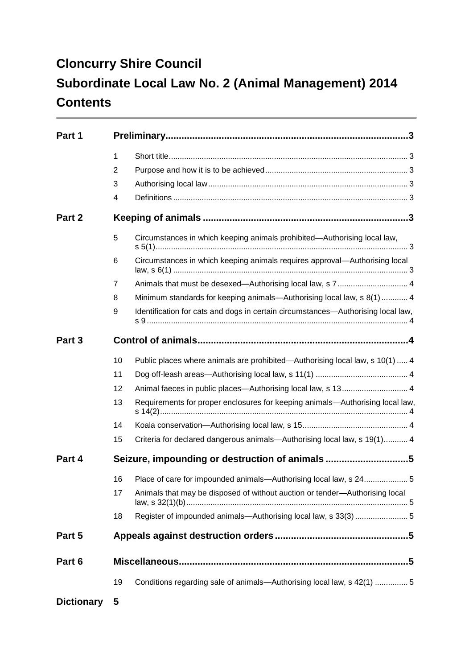# **Cloncurry Shire Council Subordinate Local Law No. 2 (Animal Management) 2014 Contents**

| Part 1            |                |                                                                                  |  |
|-------------------|----------------|----------------------------------------------------------------------------------|--|
|                   | $\mathbf{1}$   |                                                                                  |  |
|                   | 2              |                                                                                  |  |
|                   | 3              |                                                                                  |  |
|                   | 4              |                                                                                  |  |
| Part 2            |                |                                                                                  |  |
|                   | 5              | Circumstances in which keeping animals prohibited-Authorising local law,         |  |
|                   | 6              | Circumstances in which keeping animals requires approval-Authorising local       |  |
|                   | $\overline{7}$ |                                                                                  |  |
|                   | 8              | Minimum standards for keeping animals—Authorising local law, s 8(1)  4           |  |
|                   | 9              | Identification for cats and dogs in certain circumstances-Authorising local law, |  |
| Part <sub>3</sub> |                |                                                                                  |  |
|                   | 10             | Public places where animals are prohibited—Authorising local law, s 10(1)  4     |  |
|                   | 11             |                                                                                  |  |
|                   | 12             | Animal faeces in public places—Authorising local law, s 13 4                     |  |
|                   | 13             | Requirements for proper enclosures for keeping animals-Authorising local law,    |  |
|                   | 14             |                                                                                  |  |
|                   | 15             | Criteria for declared dangerous animals—Authorising local law, s 19(1) 4         |  |
| Part 4            |                | Seizure, impounding or destruction of animals 5                                  |  |
|                   | 16             | Place of care for impounded animals—Authorising local law, s 245                 |  |
|                   | 17             | Animals that may be disposed of without auction or tender-Authorising local      |  |
|                   | 18             |                                                                                  |  |
| Part 5            |                |                                                                                  |  |
| Part 6            |                |                                                                                  |  |
|                   | 19             | Conditions regarding sale of animals—Authorising local law, s 42(1)  5           |  |
| <b>Dictionary</b> | - 5            |                                                                                  |  |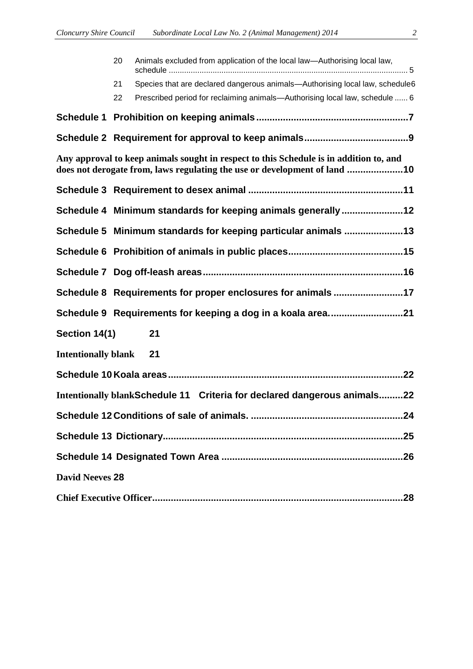|                            | 20 | Animals excluded from application of the local law—Authorising local law,                                                                                           |
|----------------------------|----|---------------------------------------------------------------------------------------------------------------------------------------------------------------------|
|                            | 21 | Species that are declared dangerous animals-Authorising local law, schedule6                                                                                        |
|                            | 22 | Prescribed period for reclaiming animals—Authorising local law, schedule  6                                                                                         |
|                            |    |                                                                                                                                                                     |
|                            |    |                                                                                                                                                                     |
|                            |    | Any approval to keep animals sought in respect to this Schedule is in addition to, and<br>does not derogate from, laws regulating the use or development of land 10 |
|                            |    |                                                                                                                                                                     |
|                            |    | Schedule 4 Minimum standards for keeping animals generally12                                                                                                        |
|                            |    | Schedule 5 Minimum standards for keeping particular animals 13                                                                                                      |
|                            |    |                                                                                                                                                                     |
|                            |    |                                                                                                                                                                     |
|                            |    | Schedule 8 Requirements for proper enclosures for animals 17                                                                                                        |
|                            |    | Schedule 9 Requirements for keeping a dog in a koala area21                                                                                                         |
| Section 14(1)              |    | 21                                                                                                                                                                  |
| <b>Intentionally blank</b> |    | 21                                                                                                                                                                  |
|                            |    |                                                                                                                                                                     |
|                            |    | Intentionally blankSchedule 11 Criteria for declared dangerous animals22                                                                                            |
|                            |    |                                                                                                                                                                     |
|                            |    |                                                                                                                                                                     |
|                            |    |                                                                                                                                                                     |
| <b>David Neeves 28</b>     |    |                                                                                                                                                                     |
|                            |    |                                                                                                                                                                     |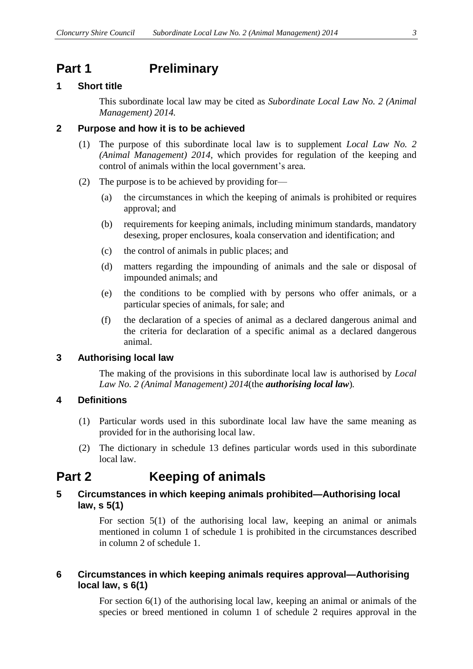### <span id="page-2-0"></span>**Part 1 Preliminary**

#### <span id="page-2-1"></span>**1 Short title**

This subordinate local law may be cited as *Subordinate Local Law No. 2 (Animal Management) 2014.*

#### <span id="page-2-2"></span>**2 Purpose and how it is to be achieved**

- (1) The purpose of this subordinate local law is to supplement *Local Law No. 2 (Animal Management) 2014,* which provides for regulation of the keeping and control of animals within the local government's area.
- (2) The purpose is to be achieved by providing for—
	- (a) the circumstances in which the keeping of animals is prohibited or requires approval; and
	- (b) requirements for keeping animals, including minimum standards, mandatory desexing, proper enclosures, koala conservation and identification; and
	- (c) the control of animals in public places; and
	- (d) matters regarding the impounding of animals and the sale or disposal of impounded animals; and
	- (e) the conditions to be complied with by persons who offer animals, or a particular species of animals, for sale; and
	- (f) the declaration of a species of animal as a declared dangerous animal and the criteria for declaration of a specific animal as a declared dangerous animal.

#### <span id="page-2-3"></span>**3 Authorising local law**

The making of the provisions in this subordinate local law is authorised by *Local Law No. 2 (Animal Management) 2014*(the *authorising local law*)*.*

#### <span id="page-2-4"></span>**4 Definitions**

- (1) Particular words used in this subordinate local law have the same meaning as provided for in the authorising local law.
- (2) The dictionary in schedule 13 defines particular words used in this subordinate local law.

### <span id="page-2-5"></span>**Part 2 Keeping of animals**

#### <span id="page-2-6"></span>**5 Circumstances in which keeping animals prohibited—Authorising local law, s 5(1)**

For section 5(1) of the authorising local law, keeping an animal or animals mentioned in column 1 of schedule 1 is prohibited in the circumstances described in column 2 of schedule 1.

#### <span id="page-2-7"></span>**6 Circumstances in which keeping animals requires approval—Authorising local law, s 6(1)**

For section 6(1) of the authorising local law, keeping an animal or animals of the species or breed mentioned in column 1 of schedule 2 requires approval in the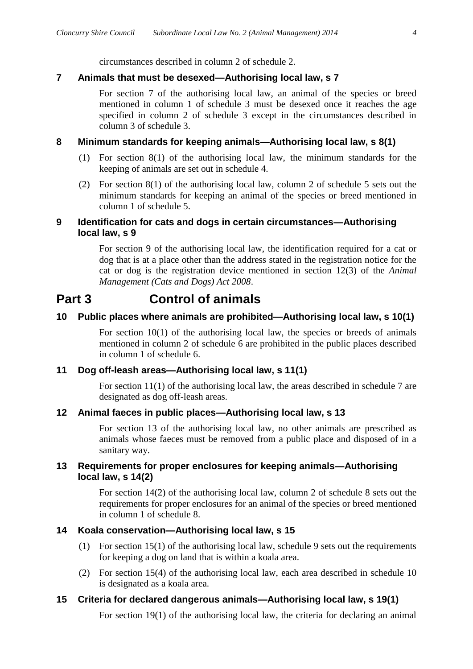circumstances described in column 2 of schedule 2.

#### <span id="page-3-0"></span>**7 Animals that must be desexed—Authorising local law, s 7**

For section 7 of the authorising local law, an animal of the species or breed mentioned in column 1 of schedule 3 must be desexed once it reaches the age specified in column 2 of schedule 3 except in the circumstances described in column 3 of schedule 3.

#### <span id="page-3-1"></span>**8 Minimum standards for keeping animals—Authorising local law, s 8(1)**

- (1) For section 8(1) of the authorising local law, the minimum standards for the keeping of animals are set out in schedule 4.
- (2) For section 8(1) of the authorising local law, column 2 of schedule 5 sets out the minimum standards for keeping an animal of the species or breed mentioned in column 1 of schedule 5.

#### <span id="page-3-2"></span>**9 Identification for cats and dogs in certain circumstances—Authorising local law, s 9**

For section 9 of the authorising local law, the identification required for a cat or dog that is at a place other than the address stated in the registration notice for the cat or dog is the registration device mentioned in section 12(3) of the *Animal Management (Cats and Dogs) Act 2008*.

### <span id="page-3-3"></span>**Part 3 Control of animals**

#### <span id="page-3-4"></span>**10 Public places where animals are prohibited—Authorising local law, s 10(1)**

For section  $10(1)$  of the authorising local law, the species or breeds of animals mentioned in column 2 of schedule 6 are prohibited in the public places described in column 1 of schedule 6.

#### <span id="page-3-5"></span>**11 Dog off-leash areas—Authorising local law, s 11(1)**

For section 11(1) of the authorising local law, the areas described in schedule 7 are designated as dog off-leash areas.

#### <span id="page-3-6"></span>**12 Animal faeces in public places—Authorising local law, s 13**

For section 13 of the authorising local law, no other animals are prescribed as animals whose faeces must be removed from a public place and disposed of in a sanitary way.

#### <span id="page-3-7"></span>**13 Requirements for proper enclosures for keeping animals—Authorising local law, s 14(2)**

For section 14(2) of the authorising local law, column 2 of schedule 8 sets out the requirements for proper enclosures for an animal of the species or breed mentioned in column 1 of schedule 8.

#### <span id="page-3-8"></span>**14 Koala conservation—Authorising local law, s 15**

- (1) For section 15(1) of the authorising local law, schedule 9 sets out the requirements for keeping a dog on land that is within a koala area.
- (2) For section 15(4) of the authorising local law, each area described in schedule 10 is designated as a koala area.

#### <span id="page-3-9"></span>**15 Criteria for declared dangerous animals—Authorising local law, s 19(1)**

For section 19(1) of the authorising local law, the criteria for declaring an animal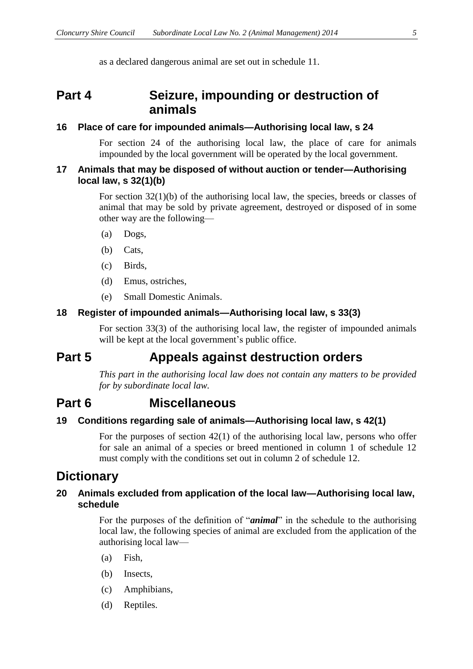as a declared dangerous animal are set out in schedule 11.

## <span id="page-4-0"></span>**Part 4 Seizure, impounding or destruction of animals**

#### <span id="page-4-1"></span>**16 Place of care for impounded animals—Authorising local law, s 24**

For section 24 of the authorising local law, the place of care for animals impounded by the local government will be operated by the local government.

#### <span id="page-4-2"></span>**17 Animals that may be disposed of without auction or tender—Authorising local law, s 32(1)(b)**

For section 32(1)(b) of the authorising local law, the species, breeds or classes of animal that may be sold by private agreement, destroyed or disposed of in some other way are the following—

- (a) Dogs,
- (b) Cats,
- (c) Birds,
- (d) Emus, ostriches,
- (e) Small Domestic Animals.

#### <span id="page-4-3"></span>**18 Register of impounded animals—Authorising local law, s 33(3)**

For section 33(3) of the authorising local law, the register of impounded animals will be kept at the local government's public office.

### <span id="page-4-4"></span>**Part 5 Appeals against destruction orders**

*This part in the authorising local law does not contain any matters to be provided for by subordinate local law.*

### <span id="page-4-5"></span>**Part 6 Miscellaneous**

#### <span id="page-4-6"></span>**19 Conditions regarding sale of animals—Authorising local law, s 42(1)**

For the purposes of section 42(1) of the authorising local law, persons who offer for sale an animal of a species or breed mentioned in column 1 of schedule 12 must comply with the conditions set out in column 2 of schedule 12.

### <span id="page-4-7"></span>**Dictionary**

#### <span id="page-4-8"></span>**20 Animals excluded from application of the local law—Authorising local law, schedule**

For the purposes of the definition of "*animal*" in the schedule to the authorising local law, the following species of animal are excluded from the application of the authorising local law—

- (a) Fish,
- (b) Insects,
- (c) Amphibians,
- (d) Reptiles.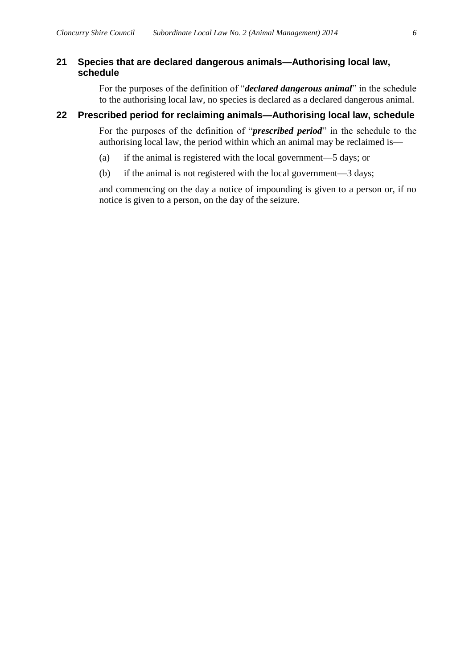#### <span id="page-5-0"></span>**21 Species that are declared dangerous animals—Authorising local law, schedule**

For the purposes of the definition of "*declared dangerous animal*" in the schedule to the authorising local law, no species is declared as a declared dangerous animal.

#### <span id="page-5-1"></span>**22 Prescribed period for reclaiming animals—Authorising local law, schedule**

For the purposes of the definition of "*prescribed period*" in the schedule to the authorising local law, the period within which an animal may be reclaimed is—

- (a) if the animal is registered with the local government—5 days; or
- (b) if the animal is not registered with the local government—3 days;

 and commencing on the day a notice of impounding is given to a person or, if no notice is given to a person, on the day of the seizure.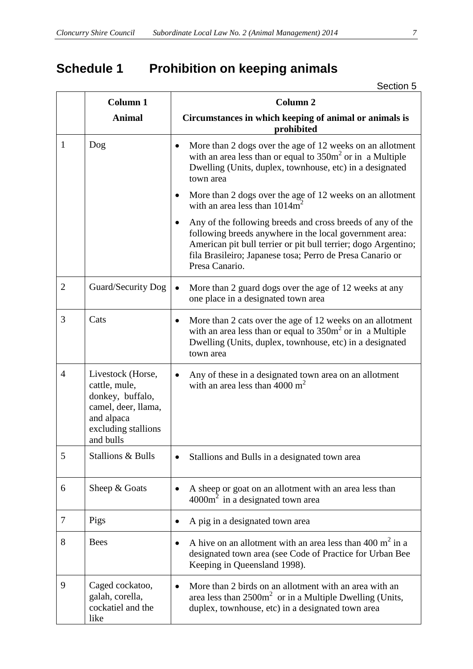# <span id="page-6-0"></span>**Schedule 1 Prohibition on keeping animals**

Section 5

|                | <b>Column 1</b>                                                                                                                 | <b>Column 2</b>                                                                                                                                                                                                                                                        |
|----------------|---------------------------------------------------------------------------------------------------------------------------------|------------------------------------------------------------------------------------------------------------------------------------------------------------------------------------------------------------------------------------------------------------------------|
|                | <b>Animal</b>                                                                                                                   | Circumstances in which keeping of animal or animals is<br>prohibited                                                                                                                                                                                                   |
| 1              | Dog                                                                                                                             | More than 2 dogs over the age of 12 weeks on an allotment<br>$\bullet$<br>with an area less than or equal to $350m^2$ or in a Multiple<br>Dwelling (Units, duplex, townhouse, etc) in a designated<br>town area                                                        |
|                |                                                                                                                                 | More than 2 dogs over the age of 12 weeks on an allotment<br>with an area less than $1014m^2$                                                                                                                                                                          |
|                |                                                                                                                                 | Any of the following breeds and cross breeds of any of the<br>following breeds anywhere in the local government area:<br>American pit bull terrier or pit bull terrier; dogo Argentino;<br>fila Brasileiro; Japanese tosa; Perro de Presa Canario or<br>Presa Canario. |
| $\overline{2}$ | Guard/Security Dog                                                                                                              | More than 2 guard dogs over the age of 12 weeks at any<br>one place in a designated town area                                                                                                                                                                          |
| 3              | Cats                                                                                                                            | More than 2 cats over the age of 12 weeks on an allotment<br>٠<br>with an area less than or equal to $350m^2$ or in a Multiple<br>Dwelling (Units, duplex, townhouse, etc) in a designated<br>town area                                                                |
| 4              | Livestock (Horse,<br>cattle, mule,<br>donkey, buffalo,<br>camel, deer, llama,<br>and alpaca<br>excluding stallions<br>and bulls | Any of these in a designated town area on an allotment<br>with an area less than 4000 $m2$                                                                                                                                                                             |
| 5              | <b>Stallions &amp; Bulls</b>                                                                                                    | Stallions and Bulls in a designated town area<br>٠                                                                                                                                                                                                                     |
| 6              | Sheep & Goats                                                                                                                   | A sheep or goat on an allotment with an area less than<br>$4000m2$ in a designated town area                                                                                                                                                                           |
| $\tau$         | Pigs                                                                                                                            | A pig in a designated town area<br>$\bullet$                                                                                                                                                                                                                           |
| 8              | <b>Bees</b>                                                                                                                     | A hive on an allotment with an area less than 400 $m2$ in a<br>designated town area (see Code of Practice for Urban Bee<br>Keeping in Queensland 1998).                                                                                                                |
| 9              | Caged cockatoo,<br>galah, corella,<br>cockatiel and the<br>like                                                                 | More than 2 birds on an allotment with an area with an<br>$\bullet$<br>area less than $2500m^2$ or in a Multiple Dwelling (Units,<br>duplex, townhouse, etc) in a designated town area                                                                                 |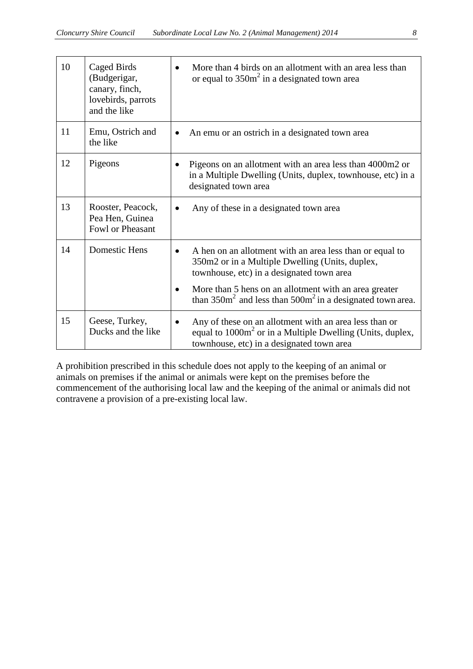| 10 | Caged Birds<br>(Budgerigar,<br>canary, finch,<br>lovebirds, parrots<br>and the like | More than 4 birds on an allotment with an area less than<br>or equal to $350m^2$ in a designated town area                                                                   |
|----|-------------------------------------------------------------------------------------|------------------------------------------------------------------------------------------------------------------------------------------------------------------------------|
| 11 | Emu, Ostrich and<br>the like                                                        | An emu or an ostrich in a designated town area                                                                                                                               |
| 12 | Pigeons                                                                             | Pigeons on an allotment with an area less than 4000m2 or<br>in a Multiple Dwelling (Units, duplex, townhouse, etc) in a<br>designated town area                              |
| 13 | Rooster, Peacock,<br>Pea Hen, Guinea<br>Fowl or Pheasant                            | Any of these in a designated town area                                                                                                                                       |
| 14 | <b>Domestic Hens</b>                                                                | A hen on an allotment with an area less than or equal to<br>350m2 or in a Multiple Dwelling (Units, duplex,<br>townhouse, etc) in a designated town area                     |
|    |                                                                                     | More than 5 hens on an allotment with an area greater<br>than $350m^2$ and less than $500m^2$ in a designated town area.                                                     |
| 15 | Geese, Turkey,<br>Ducks and the like                                                | Any of these on an allotment with an area less than or<br>equal to 1000m <sup>2</sup> or in a Multiple Dwelling (Units, duplex,<br>townhouse, etc) in a designated town area |

A prohibition prescribed in this schedule does not apply to the keeping of an animal or animals on premises if the animal or animals were kept on the premises before the commencement of the authorising local law and the keeping of the animal or animals did not contravene a provision of a pre-existing local law.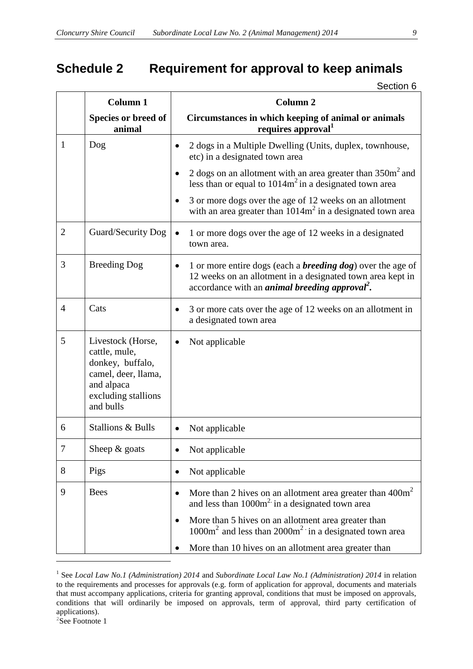# <span id="page-8-0"></span>**Schedule 2 Requirement for approval to keep animals**

Section 6

|                | <b>Column 1</b>                                                                                                                 | <b>Column 2</b>                                                                                                                                                                                                     |
|----------------|---------------------------------------------------------------------------------------------------------------------------------|---------------------------------------------------------------------------------------------------------------------------------------------------------------------------------------------------------------------|
|                | Species or breed of<br>animal                                                                                                   | Circumstances in which keeping of animal or animals<br>requires approval <sup>1</sup>                                                                                                                               |
| 1              | Dog                                                                                                                             | 2 dogs in a Multiple Dwelling (Units, duplex, townhouse,<br>etc) in a designated town area                                                                                                                          |
|                |                                                                                                                                 | 2 dogs on an allotment with an area greater than $350m2$ and<br>less than or equal to $1014m^2$ in a designated town area                                                                                           |
|                |                                                                                                                                 | 3 or more dogs over the age of 12 weeks on an allotment<br>with an area greater than $1014m^2$ in a designated town area                                                                                            |
| $\overline{2}$ | Guard/Security Dog                                                                                                              | 1 or more dogs over the age of 12 weeks in a designated<br>town area.                                                                                                                                               |
| 3              | <b>Breeding Dog</b>                                                                                                             | 1 or more entire dogs (each a <b>breeding dog</b> ) over the age of<br>$\bullet$<br>12 weeks on an allotment in a designated town area kept in<br>accordance with an <i>animal breeding approval</i> <sup>2</sup> . |
| $\overline{4}$ | Cats                                                                                                                            | 3 or more cats over the age of 12 weeks on an allotment in<br>a designated town area                                                                                                                                |
| 5              | Livestock (Horse,<br>cattle, mule,<br>donkey, buffalo,<br>camel, deer, llama,<br>and alpaca<br>excluding stallions<br>and bulls | Not applicable                                                                                                                                                                                                      |
| 6              | <b>Stallions &amp; Bulls</b>                                                                                                    | Not applicable<br>$\bullet$                                                                                                                                                                                         |
| $\tau$         | Sheep $&$ goats                                                                                                                 | Not applicable                                                                                                                                                                                                      |
| 8              | Pigs                                                                                                                            | Not applicable<br>$\bullet$                                                                                                                                                                                         |
| 9              | <b>Bees</b>                                                                                                                     | More than 2 hives on an allotment area greater than $400m^2$<br>$\bullet$<br>and less than 1000m <sup>2</sup> in a designated town area                                                                             |
|                |                                                                                                                                 | More than 5 hives on an allotment area greater than<br>$\bullet$<br>$1000m2$ and less than $2000m2$ in a designated town area                                                                                       |
|                |                                                                                                                                 | More than 10 hives on an allotment area greater than<br>$\bullet$                                                                                                                                                   |

<sup>1</sup> See *Local Law No.1 (Administration) 2014* and *Subordinate Local Law No.1 (Administration) 2014* in relation to the requirements and processes for approvals (e.g. form of application for approval, documents and materials that must accompany applications, criteria for granting approval, conditions that must be imposed on approvals, conditions that will ordinarily be imposed on approvals, term of approval, third party certification of applications).

 $2$ See Footnote 1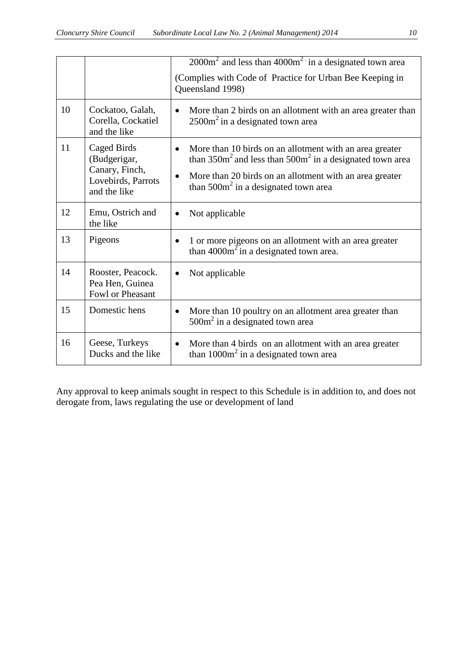|    |                                                                                     | $2000m2$ and less than $4000m2$ in a designated town area                                                                                                                                                                                    |
|----|-------------------------------------------------------------------------------------|----------------------------------------------------------------------------------------------------------------------------------------------------------------------------------------------------------------------------------------------|
|    |                                                                                     | (Complies with Code of Practice for Urban Bee Keeping in<br>Queensland 1998)                                                                                                                                                                 |
| 10 | Cockatoo, Galah,<br>Corella, Cockatiel<br>and the like                              | More than 2 birds on an allotment with an area greater than<br>$\bullet$<br>$2500m2$ in a designated town area                                                                                                                               |
| 11 | Caged Birds<br>(Budgerigar,<br>Canary, Finch,<br>Lovebirds, Parrots<br>and the like | More than 10 birds on an allotment with an area greater<br>than $350m^2$ and less than $500m^2$ in a designated town area<br>More than 20 birds on an allotment with an area greater<br>$\bullet$<br>than $500m^2$ in a designated town area |
| 12 | Emu, Ostrich and<br>the like                                                        | Not applicable<br>$\bullet$                                                                                                                                                                                                                  |
| 13 | Pigeons                                                                             | 1 or more pigeons on an allotment with an area greater<br>than $4000m^2$ in a designated town area.                                                                                                                                          |
| 14 | Rooster, Peacock.<br>Pea Hen, Guinea<br>Fowl or Pheasant                            | Not applicable<br>$\bullet$                                                                                                                                                                                                                  |
| 15 | Domestic hens                                                                       | More than 10 poultry on an allotment area greater than<br>$\bullet$<br>$500m2$ in a designated town area                                                                                                                                     |
| 16 | Geese, Turkeys<br>Ducks and the like                                                | More than 4 birds on an allotment with an area greater<br>than $1000m^2$ in a designated town area                                                                                                                                           |

<span id="page-9-0"></span>Any approval to keep animals sought in respect to this Schedule is in addition to, and does not derogate from, laws regulating the use or development of land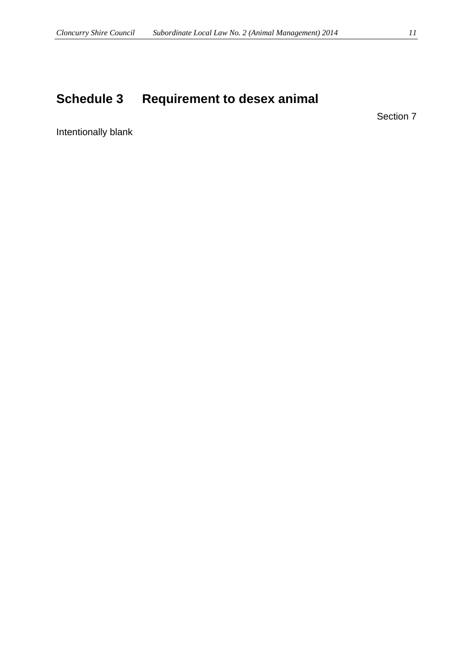# <span id="page-10-0"></span>**Schedule 3 Requirement to desex animal**

Section 7

Intentionally blank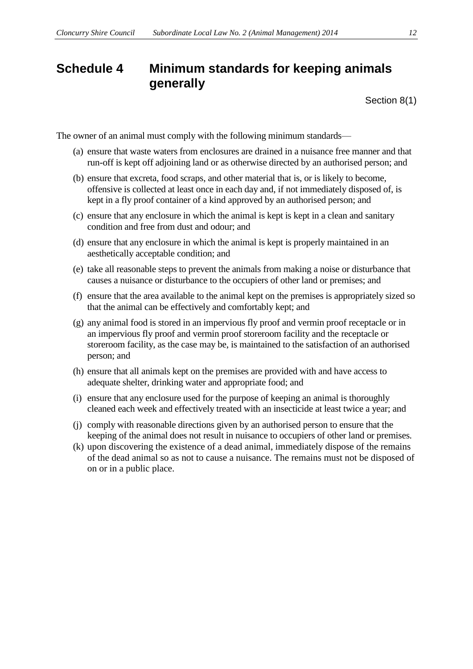## <span id="page-11-0"></span>**Schedule 4 Minimum standards for keeping animals generally**

Section 8(1)

The owner of an animal must comply with the following minimum standards—

- (a) ensure that waste waters from enclosures are drained in a nuisance free manner and that run-off is kept off adjoining land or as otherwise directed by an authorised person; and
- (b) ensure that excreta, food scraps, and other material that is, or is likely to become, offensive is collected at least once in each day and, if not immediately disposed of, is kept in a fly proof container of a kind approved by an authorised person; and
- (c) ensure that any enclosure in which the animal is kept is kept in a clean and sanitary condition and free from dust and odour; and
- (d) ensure that any enclosure in which the animal is kept is properly maintained in an aesthetically acceptable condition; and
- (e) take all reasonable steps to prevent the animals from making a noise or disturbance that causes a nuisance or disturbance to the occupiers of other land or premises; and
- (f) ensure that the area available to the animal kept on the premises is appropriately sized so that the animal can be effectively and comfortably kept; and
- (g) any animal food is stored in an impervious fly proof and vermin proof receptacle or in an impervious fly proof and vermin proof storeroom facility and the receptacle or storeroom facility, as the case may be, is maintained to the satisfaction of an authorised person; and
- (h) ensure that all animals kept on the premises are provided with and have access to adequate shelter, drinking water and appropriate food; and
- (i) ensure that any enclosure used for the purpose of keeping an animal is thoroughly cleaned each week and effectively treated with an insecticide at least twice a year; and
- (j) comply with reasonable directions given by an authorised person to ensure that the keeping of the animal does not result in nuisance to occupiers of other land or premises.
- (k) upon discovering the existence of a dead animal, immediately dispose of the remains of the dead animal so as not to cause a nuisance. The remains must not be disposed of on or in a public place.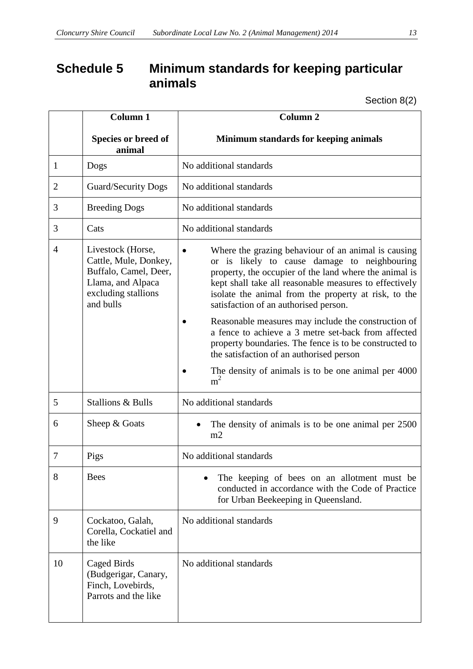## <span id="page-12-0"></span>**Schedule 5 Minimum standards for keeping particular animals**

Section 8(2)

|                | <b>Column 1</b>                                                                                                              | Column <sub>2</sub>                                                                                                                                                                                                                                                                                                      |  |
|----------------|------------------------------------------------------------------------------------------------------------------------------|--------------------------------------------------------------------------------------------------------------------------------------------------------------------------------------------------------------------------------------------------------------------------------------------------------------------------|--|
|                | Species or breed of<br>animal                                                                                                | Minimum standards for keeping animals                                                                                                                                                                                                                                                                                    |  |
| $\mathbf{1}$   | Dogs                                                                                                                         | No additional standards                                                                                                                                                                                                                                                                                                  |  |
| $\overline{2}$ | <b>Guard/Security Dogs</b>                                                                                                   | No additional standards                                                                                                                                                                                                                                                                                                  |  |
| 3              | <b>Breeding Dogs</b>                                                                                                         | No additional standards                                                                                                                                                                                                                                                                                                  |  |
| 3              | Cats                                                                                                                         | No additional standards                                                                                                                                                                                                                                                                                                  |  |
| $\overline{4}$ | Livestock (Horse,<br>Cattle, Mule, Donkey,<br>Buffalo, Camel, Deer,<br>Llama, and Alpaca<br>excluding stallions<br>and bulls | Where the grazing behaviour of an animal is causing<br>or is likely to cause damage to neighbouring<br>property, the occupier of the land where the animal is<br>kept shall take all reasonable measures to effectively<br>isolate the animal from the property at risk, to the<br>satisfaction of an authorised person. |  |
|                |                                                                                                                              | Reasonable measures may include the construction of<br>a fence to achieve a 3 metre set-back from affected<br>property boundaries. The fence is to be constructed to<br>the satisfaction of an authorised person                                                                                                         |  |
|                |                                                                                                                              | The density of animals is to be one animal per 4000<br>m <sup>2</sup>                                                                                                                                                                                                                                                    |  |
| 5              | <b>Stallions &amp; Bulls</b>                                                                                                 | No additional standards                                                                                                                                                                                                                                                                                                  |  |
| 6              | Sheep & Goats                                                                                                                | The density of animals is to be one animal per 2500<br>m2                                                                                                                                                                                                                                                                |  |
| 7              | Pigs                                                                                                                         | No additional standards                                                                                                                                                                                                                                                                                                  |  |
| 8              | <b>Bees</b>                                                                                                                  | The keeping of bees on an allotment must be<br>conducted in accordance with the Code of Practice<br>for Urban Beekeeping in Queensland.                                                                                                                                                                                  |  |
| 9              | Cockatoo, Galah,<br>Corella, Cockatiel and<br>the like                                                                       | No additional standards                                                                                                                                                                                                                                                                                                  |  |
| 10             | Caged Birds<br>(Budgerigar, Canary,<br>Finch, Lovebirds,<br>Parrots and the like                                             | No additional standards                                                                                                                                                                                                                                                                                                  |  |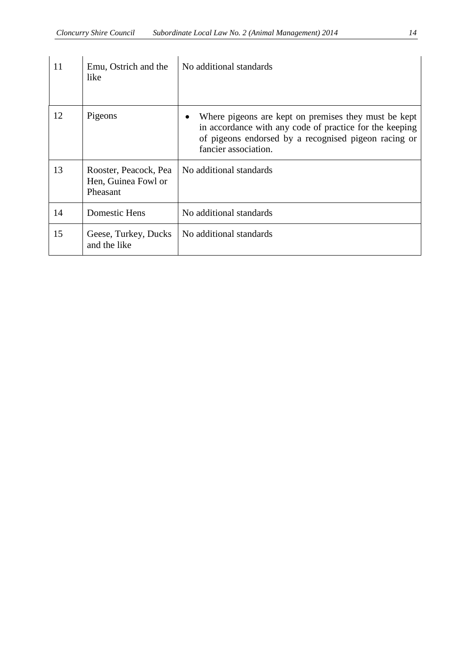| 11 | Emu, Ostrich and the<br>like                             | No additional standards                                                                                                                                                                         |
|----|----------------------------------------------------------|-------------------------------------------------------------------------------------------------------------------------------------------------------------------------------------------------|
| 12 | Pigeons                                                  | Where pigeons are kept on premises they must be kept<br>in accordance with any code of practice for the keeping<br>of pigeons endorsed by a recognised pigeon racing or<br>fancier association. |
| 13 | Rooster, Peacock, Pea<br>Hen, Guinea Fowl or<br>Pheasant | No additional standards                                                                                                                                                                         |
| 14 | Domestic Hens                                            | No additional standards                                                                                                                                                                         |
| 15 | Geese, Turkey, Ducks<br>and the like                     | No additional standards                                                                                                                                                                         |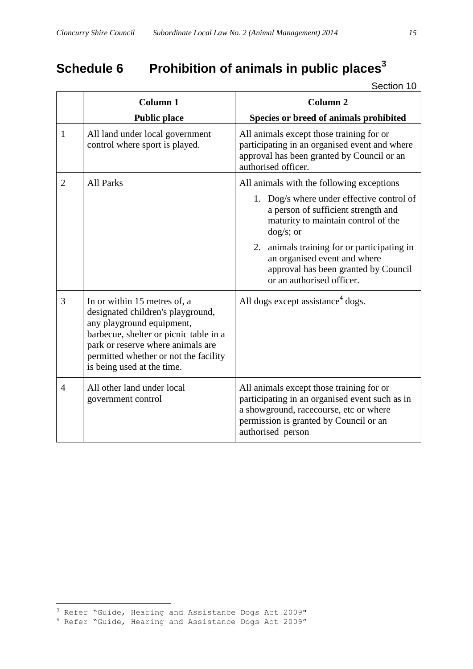# <span id="page-14-0"></span>**Schedule 6 Prohibition of animals in public places<sup>3</sup>**

Section 10

|                | <b>Column 1</b>                                                                                                                                                                                                                                      | <b>Column 2</b>                                                                                                                                                                                     |
|----------------|------------------------------------------------------------------------------------------------------------------------------------------------------------------------------------------------------------------------------------------------------|-----------------------------------------------------------------------------------------------------------------------------------------------------------------------------------------------------|
|                | <b>Public place</b>                                                                                                                                                                                                                                  | Species or breed of animals prohibited                                                                                                                                                              |
| $\mathbf{1}$   | All land under local government<br>control where sport is played.                                                                                                                                                                                    | All animals except those training for or<br>participating in an organised event and where<br>approval has been granted by Council or an<br>authorised officer.                                      |
| $\overline{2}$ | <b>All Parks</b>                                                                                                                                                                                                                                     | All animals with the following exceptions                                                                                                                                                           |
|                |                                                                                                                                                                                                                                                      | 1. Dog/s where under effective control of<br>a person of sufficient strength and<br>maturity to maintain control of the<br>$\frac{dog}{s}$ ; or                                                     |
|                |                                                                                                                                                                                                                                                      | 2. animals training for or participating in<br>an organised event and where<br>approval has been granted by Council<br>or an authorised officer.                                                    |
| 3              | In or within 15 metres of, a<br>designated children's playground,<br>any playground equipment,<br>barbecue, shelter or picnic table in a<br>park or reserve where animals are<br>permitted whether or not the facility<br>is being used at the time. | All dogs except assistance <sup>4</sup> dogs.                                                                                                                                                       |
| $\overline{4}$ | All other land under local<br>government control                                                                                                                                                                                                     | All animals except those training for or<br>participating in an organised event such as in<br>a showground, racecourse, etc or where<br>permission is granted by Council or an<br>authorised person |

 $\overline{a}$ 

<sup>3</sup> Refer "Guide, Hearing and Assistance Dogs Act 2009"

<sup>4</sup> Refer "Guide, Hearing and Assistance Dogs Act 2009"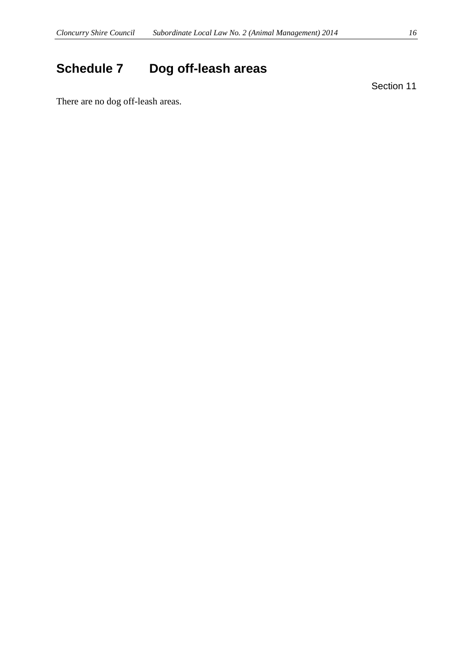# <span id="page-15-0"></span>**Schedule 7 Dog off-leash areas**

Section 11

There are no dog off-leash areas.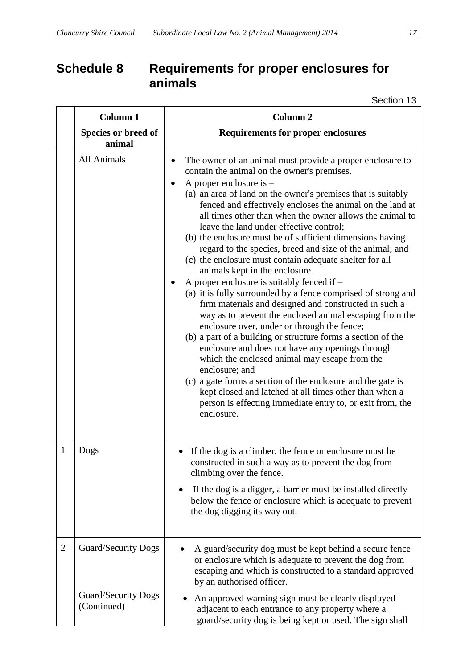## <span id="page-16-0"></span>**Schedule 8 Requirements for proper enclosures for animals**

Section 13

|                | Column 1                                  | <b>Column 2</b>                                                                                                                                                                                                                                                                                                                                                                                                                                                                                                                                                                                                                                                                                                                                                                                                                                                                                                                                                                                                                                                                                                                                                                                                                                                                |  |  |
|----------------|-------------------------------------------|--------------------------------------------------------------------------------------------------------------------------------------------------------------------------------------------------------------------------------------------------------------------------------------------------------------------------------------------------------------------------------------------------------------------------------------------------------------------------------------------------------------------------------------------------------------------------------------------------------------------------------------------------------------------------------------------------------------------------------------------------------------------------------------------------------------------------------------------------------------------------------------------------------------------------------------------------------------------------------------------------------------------------------------------------------------------------------------------------------------------------------------------------------------------------------------------------------------------------------------------------------------------------------|--|--|
|                | Species or breed of<br>animal             | <b>Requirements for proper enclosures</b>                                                                                                                                                                                                                                                                                                                                                                                                                                                                                                                                                                                                                                                                                                                                                                                                                                                                                                                                                                                                                                                                                                                                                                                                                                      |  |  |
|                | All Animals                               | The owner of an animal must provide a proper enclosure to<br>contain the animal on the owner's premises.<br>A proper enclosure is $-$<br>(a) an area of land on the owner's premises that is suitably<br>fenced and effectively encloses the animal on the land at<br>all times other than when the owner allows the animal to<br>leave the land under effective control;<br>(b) the enclosure must be of sufficient dimensions having<br>regard to the species, breed and size of the animal; and<br>(c) the enclosure must contain adequate shelter for all<br>animals kept in the enclosure.<br>A proper enclosure is suitably fenced if $-$<br>(a) it is fully surrounded by a fence comprised of strong and<br>firm materials and designed and constructed in such a<br>way as to prevent the enclosed animal escaping from the<br>enclosure over, under or through the fence;<br>(b) a part of a building or structure forms a section of the<br>enclosure and does not have any openings through<br>which the enclosed animal may escape from the<br>enclosure; and<br>(c) a gate forms a section of the enclosure and the gate is<br>kept closed and latched at all times other than when a<br>person is effecting immediate entry to, or exit from, the<br>enclosure. |  |  |
| 1              | Dogs                                      | If the dog is a climber, the fence or enclosure must be<br>constructed in such a way as to prevent the dog from<br>climbing over the fence.<br>If the dog is a digger, a barrier must be installed directly<br>below the fence or enclosure which is adequate to prevent<br>the dog digging its way out.                                                                                                                                                                                                                                                                                                                                                                                                                                                                                                                                                                                                                                                                                                                                                                                                                                                                                                                                                                       |  |  |
| $\overline{2}$ | <b>Guard/Security Dogs</b>                | A guard/security dog must be kept behind a secure fence<br>or enclosure which is adequate to prevent the dog from<br>escaping and which is constructed to a standard approved<br>by an authorised officer.                                                                                                                                                                                                                                                                                                                                                                                                                                                                                                                                                                                                                                                                                                                                                                                                                                                                                                                                                                                                                                                                     |  |  |
|                | <b>Guard/Security Dogs</b><br>(Continued) | An approved warning sign must be clearly displayed<br>adjacent to each entrance to any property where a<br>guard/security dog is being kept or used. The sign shall                                                                                                                                                                                                                                                                                                                                                                                                                                                                                                                                                                                                                                                                                                                                                                                                                                                                                                                                                                                                                                                                                                            |  |  |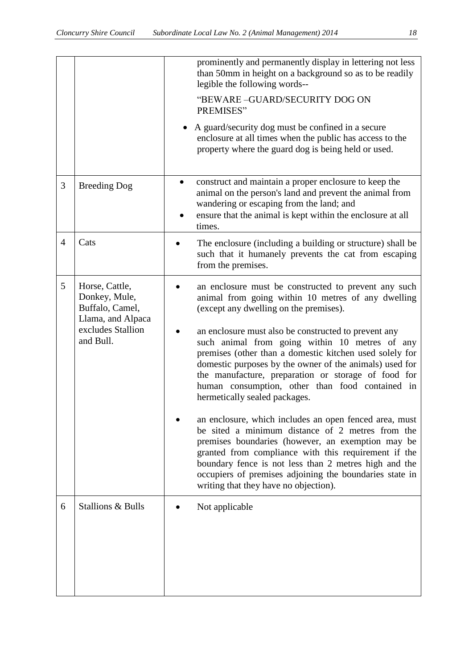|                |                                                                                                           | prominently and permanently display in lettering not less<br>than 50mm in height on a background so as to be readily<br>legible the following words--<br>"BEWARE-GUARD/SECURITY DOG ON<br>PREMISES"                                                                                                                                                                                                                                                                                                                                                                                                                                                                                                                                                                                                                                                                                                                     |
|----------------|-----------------------------------------------------------------------------------------------------------|-------------------------------------------------------------------------------------------------------------------------------------------------------------------------------------------------------------------------------------------------------------------------------------------------------------------------------------------------------------------------------------------------------------------------------------------------------------------------------------------------------------------------------------------------------------------------------------------------------------------------------------------------------------------------------------------------------------------------------------------------------------------------------------------------------------------------------------------------------------------------------------------------------------------------|
|                |                                                                                                           | A guard/security dog must be confined in a secure<br>$\bullet$<br>enclosure at all times when the public has access to the<br>property where the guard dog is being held or used.                                                                                                                                                                                                                                                                                                                                                                                                                                                                                                                                                                                                                                                                                                                                       |
| 3              | <b>Breeding Dog</b>                                                                                       | construct and maintain a proper enclosure to keep the<br>animal on the person's land and prevent the animal from<br>wandering or escaping from the land; and<br>ensure that the animal is kept within the enclosure at all<br>times.                                                                                                                                                                                                                                                                                                                                                                                                                                                                                                                                                                                                                                                                                    |
| $\overline{4}$ | Cats                                                                                                      | The enclosure (including a building or structure) shall be<br>such that it humanely prevents the cat from escaping<br>from the premises.                                                                                                                                                                                                                                                                                                                                                                                                                                                                                                                                                                                                                                                                                                                                                                                |
| 5              | Horse, Cattle,<br>Donkey, Mule,<br>Buffalo, Camel,<br>Llama, and Alpaca<br>excludes Stallion<br>and Bull. | an enclosure must be constructed to prevent any such<br>animal from going within 10 metres of any dwelling<br>(except any dwelling on the premises).<br>an enclosure must also be constructed to prevent any<br>such animal from going within 10 metres of any<br>premises (other than a domestic kitchen used solely for<br>domestic purposes by the owner of the animals) used for<br>the manufacture, preparation or storage of food for<br>human consumption, other than food contained in<br>hermetically sealed packages.<br>an enclosure, which includes an open fenced area, must<br>be sited a minimum distance of 2 metres from the<br>premises boundaries (however, an exemption may be<br>granted from compliance with this requirement if the<br>boundary fence is not less than 2 metres high and the<br>occupiers of premises adjoining the boundaries state in<br>writing that they have no objection). |
| 6              | <b>Stallions &amp; Bulls</b>                                                                              | Not applicable                                                                                                                                                                                                                                                                                                                                                                                                                                                                                                                                                                                                                                                                                                                                                                                                                                                                                                          |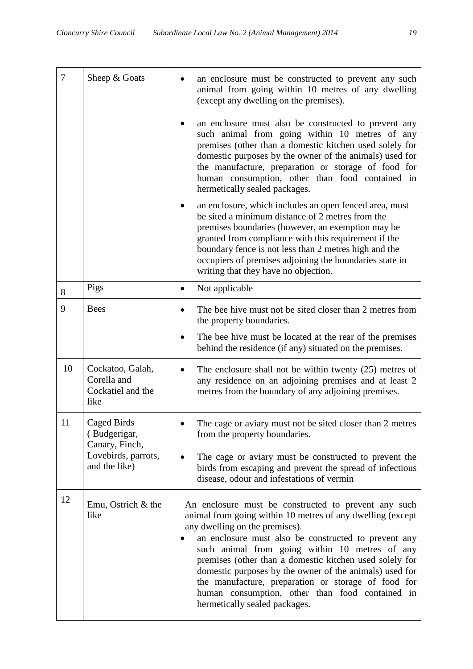| $\overline{7}$ | Sheep & Goats                                                | an enclosure must be constructed to prevent any such<br>animal from going within 10 metres of any dwelling<br>(except any dwelling on the premises).                                                                                                                                                                                                                                                                                                                                                                            |
|----------------|--------------------------------------------------------------|---------------------------------------------------------------------------------------------------------------------------------------------------------------------------------------------------------------------------------------------------------------------------------------------------------------------------------------------------------------------------------------------------------------------------------------------------------------------------------------------------------------------------------|
|                |                                                              | an enclosure must also be constructed to prevent any<br>such animal from going within 10 metres of any<br>premises (other than a domestic kitchen used solely for<br>domestic purposes by the owner of the animals) used for<br>the manufacture, preparation or storage of food for<br>human consumption, other than food contained in<br>hermetically sealed packages.                                                                                                                                                         |
|                |                                                              | an enclosure, which includes an open fenced area, must<br>be sited a minimum distance of 2 metres from the<br>premises boundaries (however, an exemption may be<br>granted from compliance with this requirement if the<br>boundary fence is not less than 2 metres high and the<br>occupiers of premises adjoining the boundaries state in<br>writing that they have no objection.                                                                                                                                             |
| 8              | Pigs                                                         | Not applicable<br>$\bullet$                                                                                                                                                                                                                                                                                                                                                                                                                                                                                                     |
| 9              | <b>Bees</b>                                                  | The bee hive must not be sited closer than 2 metres from<br>$\bullet$<br>the property boundaries.                                                                                                                                                                                                                                                                                                                                                                                                                               |
|                |                                                              | The bee hive must be located at the rear of the premises<br>behind the residence (if any) situated on the premises.                                                                                                                                                                                                                                                                                                                                                                                                             |
| 10             | Cockatoo, Galah,<br>Corella and<br>Cockatiel and the<br>like | The enclosure shall not be within twenty $(25)$ metres of<br>$\bullet$<br>any residence on an adjoining premises and at least 2<br>metres from the boundary of any adjoining premises.                                                                                                                                                                                                                                                                                                                                          |
| 11             | Caged Birds<br>(Budgerigar,<br>Canary, Finch,                | The cage or aviary must not be sited closer than 2 metres<br>from the property boundaries.                                                                                                                                                                                                                                                                                                                                                                                                                                      |
|                | Lovebirds, parrots,<br>and the like)                         | The cage or aviary must be constructed to prevent the<br>birds from escaping and prevent the spread of infectious<br>disease, odour and infestations of vermin                                                                                                                                                                                                                                                                                                                                                                  |
| 12             | Emu, Ostrich & the<br>like                                   | An enclosure must be constructed to prevent any such<br>animal from going within 10 metres of any dwelling (except<br>any dwelling on the premises).<br>an enclosure must also be constructed to prevent any<br>such animal from going within 10 metres of any<br>premises (other than a domestic kitchen used solely for<br>domestic purposes by the owner of the animals) used for<br>the manufacture, preparation or storage of food for<br>human consumption, other than food contained in<br>hermetically sealed packages. |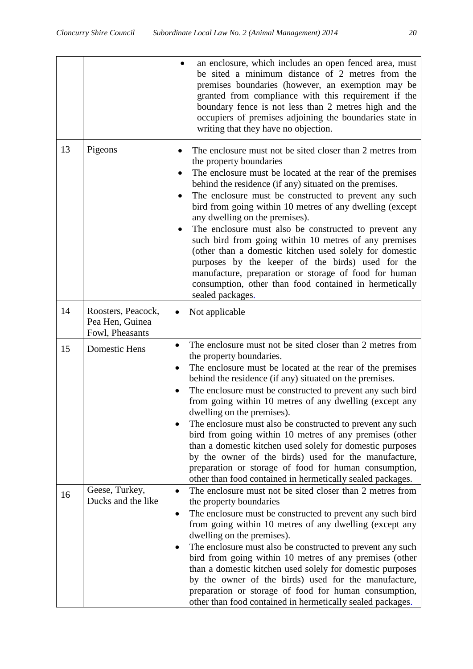|    |                                                          | an enclosure, which includes an open fenced area, must<br>be sited a minimum distance of 2 metres from the<br>premises boundaries (however, an exemption may be<br>granted from compliance with this requirement if the<br>boundary fence is not less than 2 metres high and the<br>occupiers of premises adjoining the boundaries state in<br>writing that they have no objection.                                                                                                                                                                                                                                                                                                                                                                                 |
|----|----------------------------------------------------------|---------------------------------------------------------------------------------------------------------------------------------------------------------------------------------------------------------------------------------------------------------------------------------------------------------------------------------------------------------------------------------------------------------------------------------------------------------------------------------------------------------------------------------------------------------------------------------------------------------------------------------------------------------------------------------------------------------------------------------------------------------------------|
| 13 | Pigeons                                                  | The enclosure must not be sited closer than 2 metres from<br>the property boundaries<br>The enclosure must be located at the rear of the premises<br>behind the residence (if any) situated on the premises.<br>The enclosure must be constructed to prevent any such<br>٠<br>bird from going within 10 metres of any dwelling (except<br>any dwelling on the premises).<br>The enclosure must also be constructed to prevent any<br>٠<br>such bird from going within 10 metres of any premises<br>(other than a domestic kitchen used solely for domestic<br>purposes by the keeper of the birds) used for the<br>manufacture, preparation or storage of food for human<br>consumption, other than food contained in hermetically<br>sealed packages.              |
| 14 | Roosters, Peacock,<br>Pea Hen, Guinea<br>Fowl, Pheasants | Not applicable                                                                                                                                                                                                                                                                                                                                                                                                                                                                                                                                                                                                                                                                                                                                                      |
| 15 | Domestic Hens                                            | The enclosure must not be sited closer than 2 metres from<br>$\bullet$<br>the property boundaries.<br>The enclosure must be located at the rear of the premises<br>$\bullet$<br>behind the residence (if any) situated on the premises.<br>The enclosure must be constructed to prevent any such bird<br>from going within 10 metres of any dwelling (except any<br>dwelling on the premises).<br>The enclosure must also be constructed to prevent any such<br>bird from going within 10 metres of any premises (other<br>than a domestic kitchen used solely for domestic purposes<br>by the owner of the birds) used for the manufacture,<br>preparation or storage of food for human consumption,<br>other than food contained in hermetically sealed packages. |
| 16 | Geese, Turkey,<br>Ducks and the like                     | The enclosure must not be sited closer than 2 metres from<br>$\bullet$<br>the property boundaries<br>The enclosure must be constructed to prevent any such bird<br>from going within 10 metres of any dwelling (except any<br>dwelling on the premises).<br>The enclosure must also be constructed to prevent any such<br>bird from going within 10 metres of any premises (other<br>than a domestic kitchen used solely for domestic purposes<br>by the owner of the birds) used for the manufacture,<br>preparation or storage of food for human consumption,<br>other than food contained in hermetically sealed packages.                                                                                                                                       |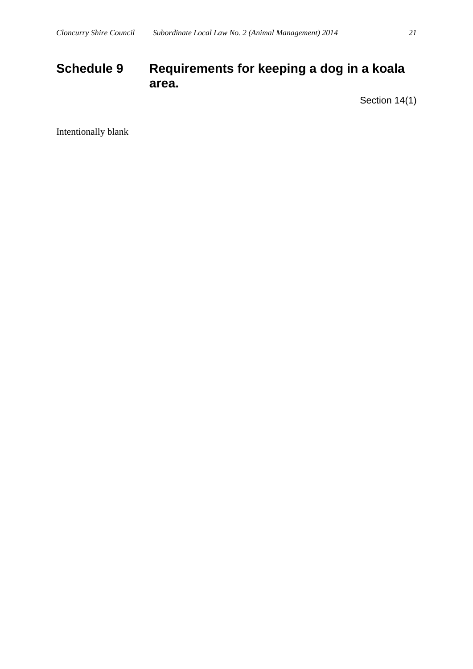## <span id="page-20-1"></span><span id="page-20-0"></span>**Schedule 9 Requirements for keeping a dog in a koala area.**

Section 14(1)

<span id="page-20-2"></span>Intentionally blank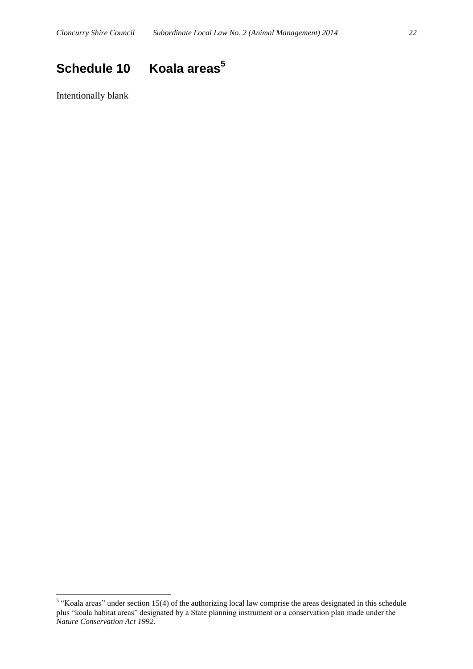# <span id="page-21-0"></span>**Schedule 10 Koala areas<sup>5</sup>**

<span id="page-21-1"></span>Intentionally blank

<sup>&</sup>lt;sup>5</sup> "Koala areas" under section 15(4) of the authorizing local law comprise the areas designated in this schedule plus "koala habitat areas" designated by a State planning instrument or a conservation plan made under the *Nature Conservation Act 1992*.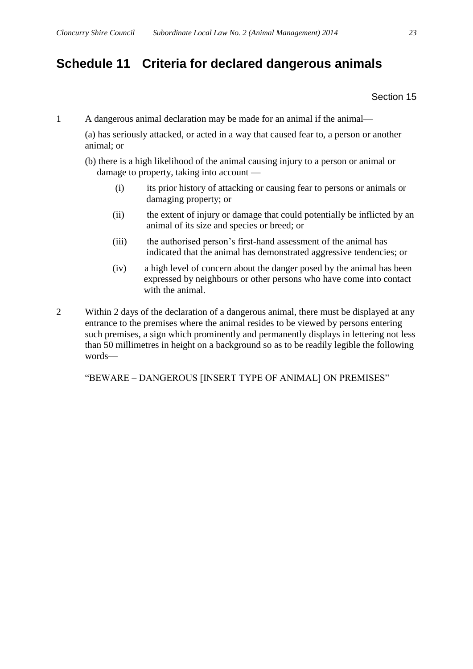## **Schedule 11 Criteria for declared dangerous animals**

Section 15

1 A dangerous animal declaration may be made for an animal if the animal—

(a) has seriously attacked, or acted in a way that caused fear to, a person or another animal; or

- (b) there is a high likelihood of the animal causing injury to a person or animal or damage to property, taking into account —
	- (i) its prior history of attacking or causing fear to persons or animals or damaging property; or
	- (ii) the extent of injury or damage that could potentially be inflicted by an animal of its size and species or breed; or
	- (iii) the authorised person's first-hand assessment of the animal has indicated that the animal has demonstrated aggressive tendencies; or
	- (iv) a high level of concern about the danger posed by the animal has been expressed by neighbours or other persons who have come into contact with the animal.
- 2 Within 2 days of the declaration of a dangerous animal, there must be displayed at any entrance to the premises where the animal resides to be viewed by persons entering such premises, a sign which prominently and permanently displays in lettering not less than 50 millimetres in height on a background so as to be readily legible the following words—

"BEWARE – DANGEROUS [INSERT TYPE OF ANIMAL] ON PREMISES"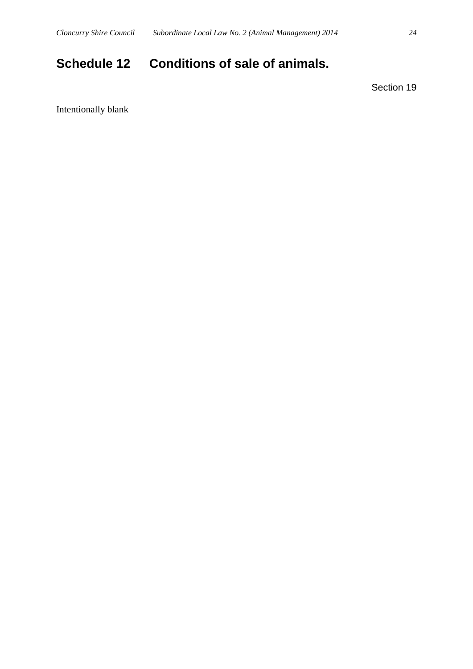# <span id="page-23-0"></span>**Schedule 12 Conditions of sale of animals.**

Section 19

Intentionally blank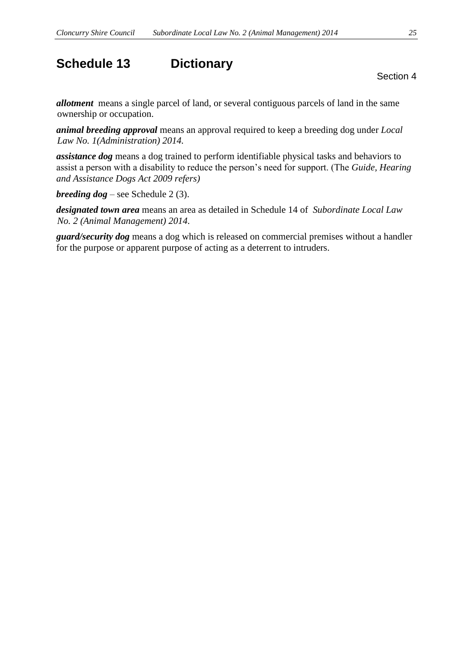## <span id="page-24-0"></span>**Schedule 13 Dictionary**

Section 4

*allotment* means a single parcel of land, or several contiguous parcels of land in the same ownership or occupation.

*animal breeding approval* means an approval required to keep a breeding dog under *Local Law No. 1(Administration) 2014.*

*assistance dog* means a dog trained to perform identifiable physical tasks and behaviors to assist a person with a disability to reduce the person's need for support. (The *Guide, Hearing and Assistance Dogs Act 2009 refers)*

*breeding dog* – see Schedule 2 (3).

*designated town area* means an area as detailed in Schedule 14 of *Subordinate Local Law No. 2 (Animal Management) 2014.*

*guard/security dog* means a dog which is released on commercial premises without a handler for the purpose or apparent purpose of acting as a deterrent to intruders.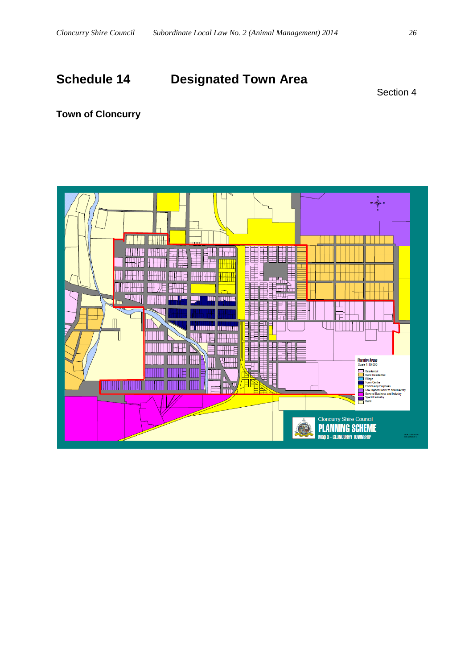# <span id="page-25-0"></span>**Schedule 14 Designated Town Area**

Section 4

### **Town of Cloncurry**

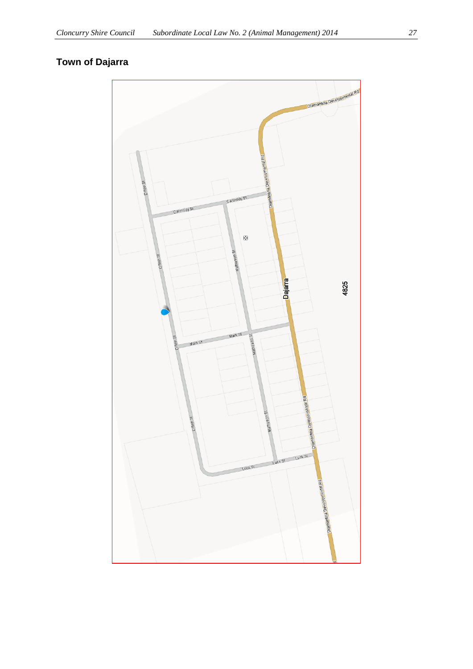## **Town of Dajarra**